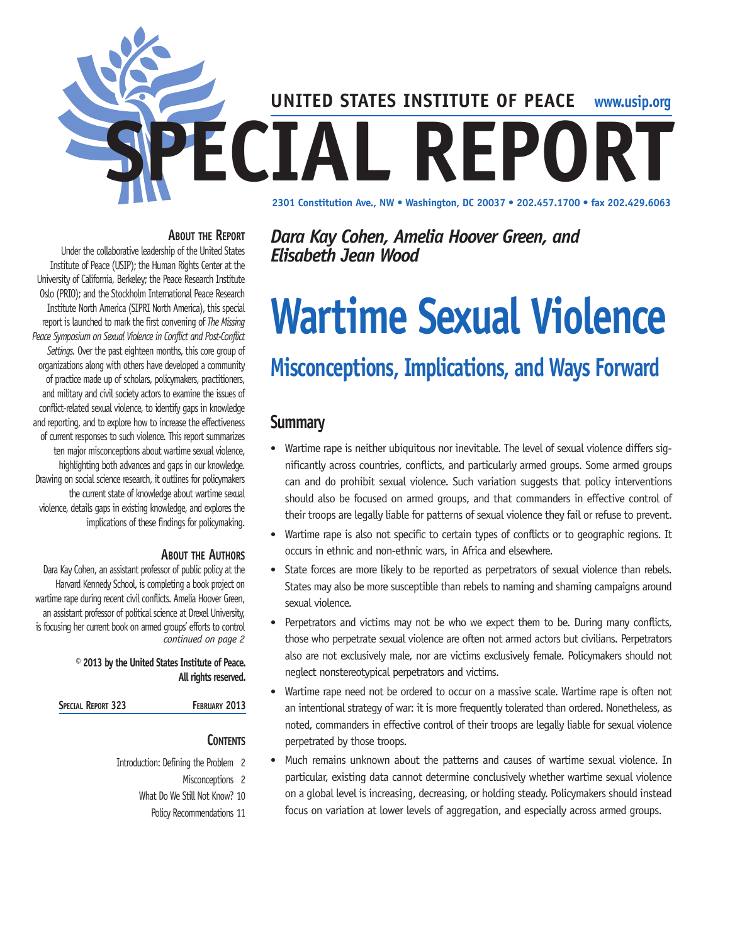

#### **About the Report**

Under the collaborative leadership of the United States Institute of Peace (USIP); the Human Rights Center at the University of California, Berkeley; the Peace Research Institute Oslo (PRIO); and the Stockholm International Peace Research Institute North America (SIPRI North America), this special report is launched to mark the first convening of *The Missing Peace Symposium on Sexual Violence in Conflict and Post-Conflict Settings.* Over the past eighteen months, this core group of organizations along with others have developed a community of practice made up of scholars, policymakers, practitioners, and military and civil society actors to examine the issues of conflict-related sexual violence, to identify gaps in knowledge and reporting, and to explore how to increase the effectiveness of current responses to such violence. This report summarizes ten major misconceptions about wartime sexual violence, highlighting both advances and gaps in our knowledge. Drawing on social science research, it outlines for policymakers the current state of knowledge about wartime sexual violence, details gaps in existing knowledge, and explores the implications of these findings for policymaking.

#### **About the Authors**

Dara Kay Cohen, an assistant professor of public policy at the Harvard Kennedy School, is completing a book project on wartime rape during recent civil conflicts. Amelia Hoover Green, an assistant professor of political science at Drexel University, is focusing her current book on armed groups' efforts to control *continued on page 2*

#### **© 2013 by the United States Institute of Peace. All rights reserved.**

#### **Contents**

Introduction: Defining the Problem 2 Misconceptions 2 What Do We Still Not Know? 10 Policy Recommendations 11 *Dara Kay Cohen, Amelia Hoover Green, and Elisabeth Jean Wood*

# **Wartime Sexual Violence**

# **Misconceptions, Implications, and Ways Forward**

# **Summary**

- Wartime rape is neither ubiquitous nor inevitable. The level of sexual violence differs significantly across countries, conflicts, and particularly armed groups. Some armed groups can and do prohibit sexual violence. Such variation suggests that policy interventions should also be focused on armed groups, and that commanders in effective control of their troops are legally liable for patterns of sexual violence they fail or refuse to prevent.
- Wartime rape is also not specific to certain types of conflicts or to geographic regions. It occurs in ethnic and non-ethnic wars, in Africa and elsewhere.
- State forces are more likely to be reported as perpetrators of sexual violence than rebels. States may also be more susceptible than rebels to naming and shaming campaigns around sexual violence.
- Perpetrators and victims may not be who we expect them to be. During many conflicts, those who perpetrate sexual violence are often not armed actors but civilians. Perpetrators also are not exclusively male, nor are victims exclusively female. Policymakers should not neglect nonstereotypical perpetrators and victims.
- Wartime rape need not be ordered to occur on a massive scale. Wartime rape is often not an intentional strategy of war: it is more frequently tolerated than ordered. Nonetheless, as noted, commanders in effective control of their troops are legally liable for sexual violence perpetrated by those troops.
- Much remains unknown about the patterns and causes of wartime sexual violence. In particular, existing data cannot determine conclusively whether wartime sexual violence on a global level is increasing, decreasing, or holding steady. Policymakers should instead focus on variation at lower levels of aggregation, and especially across armed groups.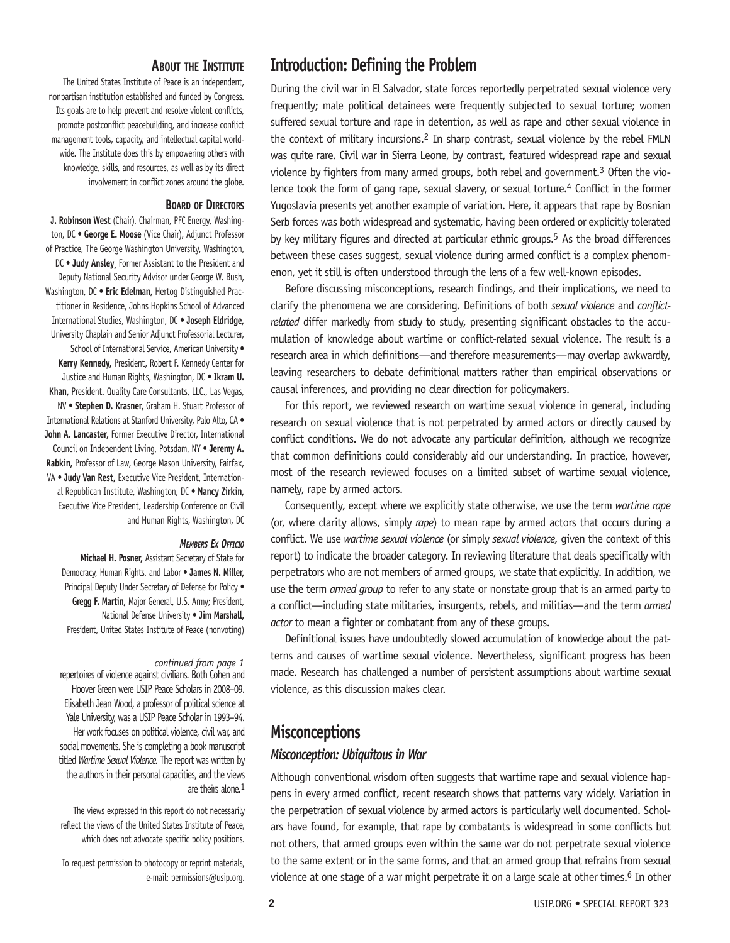#### **About the Institute**

The United States Institute of Peace is an independent, nonpartisan institution established and funded by Congress. Its goals are to help prevent and resolve violent conflicts, promote postconflict peacebuilding, and increase conflict management tools, capacity, and intellectual capital worldwide. The Institute does this by empowering others with knowledge, skills, and resources, as well as by its direct involvement in conflict zones around the globe.

#### **Board of Directors**

**J. Robinson West** (Chair), Chairman, PFC Energy, Washington, DC • **George E. Moose** (Vice Chair), Adjunct Professor of Practice, The George Washington University, Washington, DC • **Judy Ansley¸** Former Assistant to the President and Deputy National Security Advisor under George W. Bush, Washington, DC • **Eric Edelman,** Hertog Distinguished Practitioner in Residence, Johns Hopkins School of Advanced International Studies, Washington, DC • **Joseph Eldridge,**  University Chaplain and Senior Adjunct Professorial Lecturer, School of International Service, American University • **Kerry Kennedy,** President, Robert F. Kennedy Center for Justice and Human Rights, Washington, DC • **Ikram U. Khan,** President, Quality Care Consultants, LLC., Las Vegas, NV • **Stephen D. Krasner,** Graham H. Stuart Professor of International Relations at Stanford University, Palo Alto, CA • **John A. Lancaster,** Former Executive Director, International Council on Independent Living, Potsdam, NY • **Jeremy A. Rabkin,** Professor of Law, George Mason University, Fairfax, VA • **Judy Van Rest,** Executive Vice President, International Republican Institute, Washington, DC • **Nancy Zirkin,** Executive Vice President, Leadership Conference on Civil and Human Rights, Washington, DC

#### *Members Ex Officio*

**Michael H. Posner,** Assistant Secretary of State for Democracy, Human Rights, and Labor • **James N. Miller,**  Principal Deputy Under Secretary of Defense for Policy . **Gregg F. Martin,** Major General, U.S. Army; President, National Defense University • **Jim Marshall,**  President, United States Institute of Peace (nonvoting)

#### *continued from page 1*

repertoires of violence against civilians. Both Cohen and Hoover Green were USIP Peace Scholars in 2008–09. Elisabeth Jean Wood, a professor of political science at Yale University, was a USIP Peace Scholar in 1993–94. Her work focuses on political violence, civil war, and social movements. She is completing a book manuscript titled *Wartime Sexual Violence.* The report was written by the authors in their personal capacities, and the views are theirs alone.<sup>1</sup>

The views expressed in this report do not necessarily reflect the views of the United States Institute of Peace, which does not advocate specific policy positions.

To request permission to photocopy or reprint materials, e-mail: permissions@usip.org.

# **Introduction: Defining the Problem**

During the civil war in El Salvador, state forces reportedly perpetrated sexual violence very frequently; male political detainees were frequently subjected to sexual torture; women suffered sexual torture and rape in detention, as well as rape and other sexual violence in the context of military incursions.2 In sharp contrast, sexual violence by the rebel FMLN was quite rare. Civil war in Sierra Leone, by contrast, featured widespread rape and sexual violence by fighters from many armed groups, both rebel and government.3 Often the violence took the form of gang rape, sexual slavery, or sexual torture.<sup>4</sup> Conflict in the former Yugoslavia presents yet another example of variation. Here, it appears that rape by Bosnian Serb forces was both widespread and systematic, having been ordered or explicitly tolerated by key military figures and directed at particular ethnic groups.5 As the broad differences between these cases suggest, sexual violence during armed conflict is a complex phenomenon, yet it still is often understood through the lens of a few well-known episodes.

Before discussing misconceptions, research findings, and their implications, we need to clarify the phenomena we are considering. Definitions of both *sexual violence* and *conflictrelated* differ markedly from study to study, presenting significant obstacles to the accumulation of knowledge about wartime or conflict-related sexual violence. The result is a research area in which definitions—and therefore measurements—may overlap awkwardly, leaving researchers to debate definitional matters rather than empirical observations or causal inferences, and providing no clear direction for policymakers.

For this report, we reviewed research on wartime sexual violence in general, including research on sexual violence that is not perpetrated by armed actors or directly caused by conflict conditions. We do not advocate any particular definition, although we recognize that common definitions could considerably aid our understanding. In practice, however, most of the research reviewed focuses on a limited subset of wartime sexual violence, namely, rape by armed actors.

Consequently, except where we explicitly state otherwise, we use the term *wartime rape*  (or, where clarity allows, simply *rape*) to mean rape by armed actors that occurs during a conflict. We use *wartime sexual violence* (or simply *sexual violence,* given the context of this report) to indicate the broader category. In reviewing literature that deals specifically with perpetrators who are not members of armed groups, we state that explicitly. In addition, we use the term *armed group* to refer to any state or nonstate group that is an armed party to a conflict—including state militaries, insurgents, rebels, and militias—and the term *armed actor* to mean a fighter or combatant from any of these groups.

Definitional issues have undoubtedly slowed accumulation of knowledge about the patterns and causes of wartime sexual violence. Nevertheless, significant progress has been made. Research has challenged a number of persistent assumptions about wartime sexual violence, as this discussion makes clear.

# **Misconceptions** *Misconception: Ubiquitous in War*

Although conventional wisdom often suggests that wartime rape and sexual violence happens in every armed conflict, recent research shows that patterns vary widely. Variation in the perpetration of sexual violence by armed actors is particularly well documented. Scholars have found, for example, that rape by combatants is widespread in some conflicts but not others, that armed groups even within the same war do not perpetrate sexual violence to the same extent or in the same forms, and that an armed group that refrains from sexual violence at one stage of a war might perpetrate it on a large scale at other times.<sup>6</sup> In other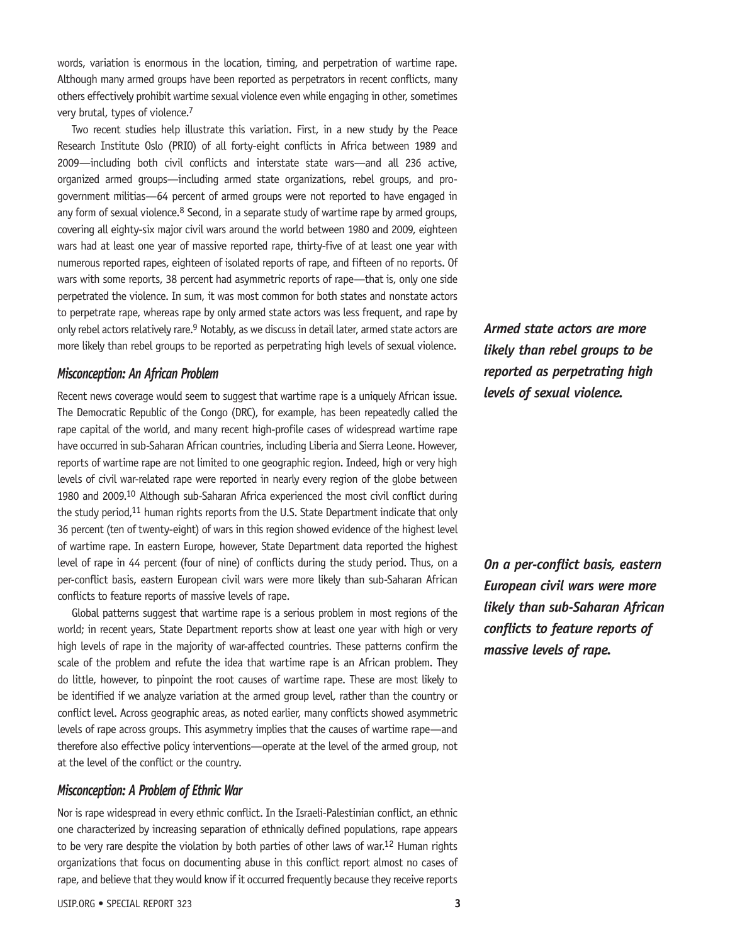words, variation is enormous in the location, timing, and perpetration of wartime rape. Although many armed groups have been reported as perpetrators in recent conflicts, many others effectively prohibit wartime sexual violence even while engaging in other, sometimes very brutal, types of violence.7

Two recent studies help illustrate this variation. First, in a new study by the Peace Research Institute Oslo (PRIO) of all forty-eight conflicts in Africa between 1989 and 2009—including both civil conflicts and interstate state wars—and all 236 active, organized armed groups—including armed state organizations, rebel groups, and progovernment militias—64 percent of armed groups were not reported to have engaged in any form of sexual violence. $8$  Second, in a separate study of wartime rape by armed groups, covering all eighty-six major civil wars around the world between 1980 and 2009, eighteen wars had at least one year of massive reported rape, thirty-five of at least one year with numerous reported rapes, eighteen of isolated reports of rape, and fifteen of no reports. Of wars with some reports, 38 percent had asymmetric reports of rape—that is, only one side perpetrated the violence. In sum, it was most common for both states and nonstate actors to perpetrate rape, whereas rape by only armed state actors was less frequent, and rape by only rebel actors relatively rare.<sup>9</sup> Notably, as we discuss in detail later, armed state actors are more likely than rebel groups to be reported as perpetrating high levels of sexual violence.

#### *Misconception: An African Problem*

Recent news coverage would seem to suggest that wartime rape is a uniquely African issue. The Democratic Republic of the Congo (DRC), for example, has been repeatedly called the rape capital of the world, and many recent high-profile cases of widespread wartime rape have occurred in sub-Saharan African countries, including Liberia and Sierra Leone. However, reports of wartime rape are not limited to one geographic region. Indeed, high or very high levels of civil war-related rape were reported in nearly every region of the globe between 1980 and 2009.10 Although sub-Saharan Africa experienced the most civil conflict during the study period,<sup>11</sup> human rights reports from the U.S. State Department indicate that only 36 percent (ten of twenty-eight) of wars in this region showed evidence of the highest level of wartime rape. In eastern Europe, however, State Department data reported the highest level of rape in 44 percent (four of nine) of conflicts during the study period. Thus, on a per-conflict basis, eastern European civil wars were more likely than sub-Saharan African conflicts to feature reports of massive levels of rape.

Global patterns suggest that wartime rape is a serious problem in most regions of the world; in recent years, State Department reports show at least one year with high or very high levels of rape in the majority of war-affected countries. These patterns confirm the scale of the problem and refute the idea that wartime rape is an African problem. They do little, however, to pinpoint the root causes of wartime rape. These are most likely to be identified if we analyze variation at the armed group level, rather than the country or conflict level. Across geographic areas, as noted earlier, many conflicts showed asymmetric levels of rape across groups. This asymmetry implies that the causes of wartime rape—and therefore also effective policy interventions—operate at the level of the armed group, not at the level of the conflict or the country.

#### *Misconception: A Problem of Ethnic War*

Nor is rape widespread in every ethnic conflict. In the Israeli-Palestinian conflict, an ethnic one characterized by increasing separation of ethnically defined populations, rape appears to be very rare despite the violation by both parties of other laws of war.<sup>12</sup> Human rights organizations that focus on documenting abuse in this conflict report almost no cases of rape, and believe that they would know if it occurred frequently because they receive reports

*Armed state actors are more likely than rebel groups to be reported as perpetrating high levels of sexual violence.*

*On a per-conflict basis, eastern European civil wars were more likely than sub-Saharan African conflicts to feature reports of massive levels of rape.*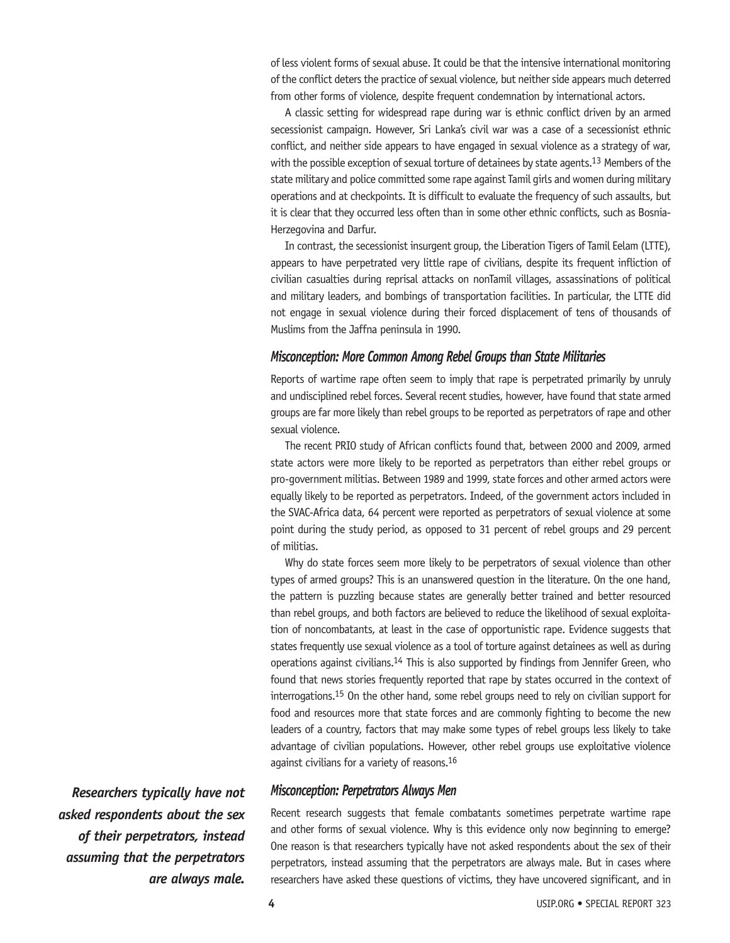of less violent forms of sexual abuse. It could be that the intensive international monitoring of the conflict deters the practice of sexual violence, but neither side appears much deterred from other forms of violence, despite frequent condemnation by international actors.

A classic setting for widespread rape during war is ethnic conflict driven by an armed secessionist campaign. However, Sri Lanka's civil war was a case of a secessionist ethnic conflict, and neither side appears to have engaged in sexual violence as a strategy of war, with the possible exception of sexual torture of detainees by state agents.<sup>13</sup> Members of the state military and police committed some rape against Tamil girls and women during military operations and at checkpoints. It is difficult to evaluate the frequency of such assaults, but it is clear that they occurred less often than in some other ethnic conflicts, such as Bosnia-Herzegovina and Darfur.

In contrast, the secessionist insurgent group, the Liberation Tigers of Tamil Eelam (LTTE), appears to have perpetrated very little rape of civilians, despite its frequent infliction of civilian casualties during reprisal attacks on nonTamil villages, assassinations of political and military leaders, and bombings of transportation facilities. In particular, the LTTE did not engage in sexual violence during their forced displacement of tens of thousands of Muslims from the Jaffna peninsula in 1990.

#### *Misconception: More Common Among Rebel Groups than State Militaries*

Reports of wartime rape often seem to imply that rape is perpetrated primarily by unruly and undisciplined rebel forces. Several recent studies, however, have found that state armed groups are far more likely than rebel groups to be reported as perpetrators of rape and other sexual violence.

The recent PRIO study of African conflicts found that, between 2000 and 2009, armed state actors were more likely to be reported as perpetrators than either rebel groups or pro-government militias. Between 1989 and 1999, state forces and other armed actors were equally likely to be reported as perpetrators. Indeed, of the government actors included in the SVAC-Africa data, 64 percent were reported as perpetrators of sexual violence at some point during the study period, as opposed to 31 percent of rebel groups and 29 percent of militias.

Why do state forces seem more likely to be perpetrators of sexual violence than other types of armed groups? This is an unanswered question in the literature. On the one hand, the pattern is puzzling because states are generally better trained and better resourced than rebel groups, and both factors are believed to reduce the likelihood of sexual exploitation of noncombatants, at least in the case of opportunistic rape. Evidence suggests that states frequently use sexual violence as a tool of torture against detainees as well as during operations against civilians.14 This is also supported by findings from Jennifer Green, who found that news stories frequently reported that rape by states occurred in the context of interrogations.15 On the other hand, some rebel groups need to rely on civilian support for food and resources more that state forces and are commonly fighting to become the new leaders of a country, factors that may make some types of rebel groups less likely to take advantage of civilian populations. However, other rebel groups use exploitative violence against civilians for a variety of reasons.16

#### *Misconception: Perpetrators Always Men*

*Researchers typically have not asked respondents about the sex of their perpetrators, instead assuming that the perpetrators are always male.*

Recent research suggests that female combatants sometimes perpetrate wartime rape and other forms of sexual violence. Why is this evidence only now beginning to emerge? One reason is that researchers typically have not asked respondents about the sex of their perpetrators, instead assuming that the perpetrators are always male. But in cases where researchers have asked these questions of victims, they have uncovered significant, and in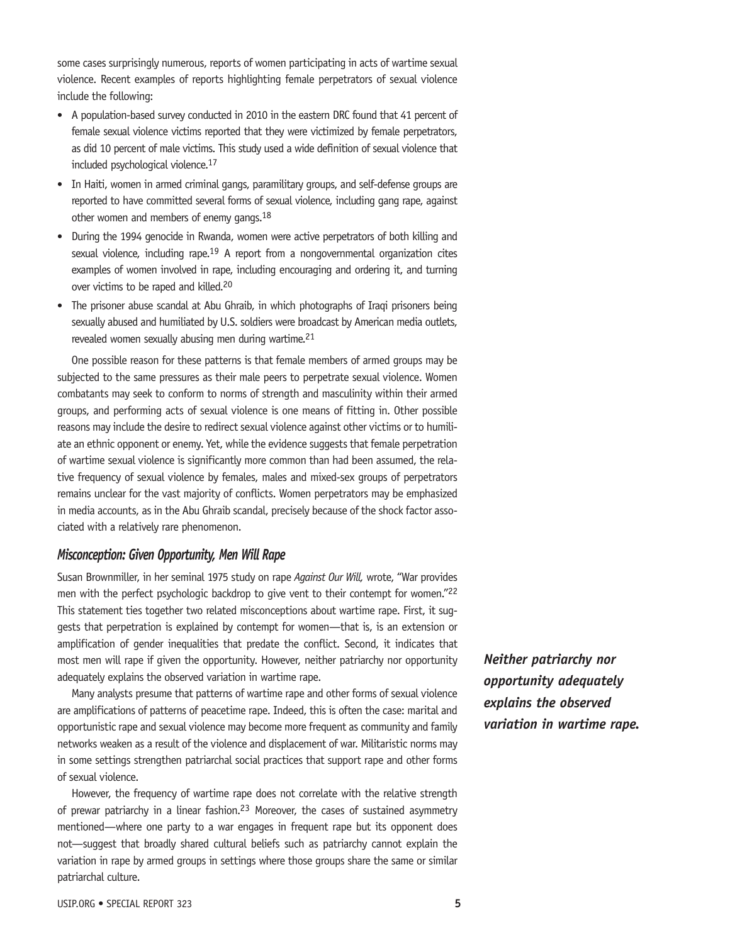some cases surprisingly numerous, reports of women participating in acts of wartime sexual violence. Recent examples of reports highlighting female perpetrators of sexual violence include the following:

- • A population-based survey conducted in 2010 in the eastern DRC found that 41 percent of female sexual violence victims reported that they were victimized by female perpetrators, as did 10 percent of male victims. This study used a wide definition of sexual violence that included psychological violence.17
- In Haiti, women in armed criminal gangs, paramilitary groups, and self-defense groups are reported to have committed several forms of sexual violence, including gang rape, against other women and members of enemy gangs.18
- During the 1994 genocide in Rwanda, women were active perpetrators of both killing and sexual violence, including rape.<sup>19</sup> A report from a nongovernmental organization cites examples of women involved in rape, including encouraging and ordering it, and turning over victims to be raped and killed.20
- The prisoner abuse scandal at Abu Ghraib, in which photographs of Iraqi prisoners being sexually abused and humiliated by U.S. soldiers were broadcast by American media outlets, revealed women sexually abusing men during wartime.21

One possible reason for these patterns is that female members of armed groups may be subjected to the same pressures as their male peers to perpetrate sexual violence. Women combatants may seek to conform to norms of strength and masculinity within their armed groups, and performing acts of sexual violence is one means of fitting in. Other possible reasons may include the desire to redirect sexual violence against other victims or to humiliate an ethnic opponent or enemy. Yet, while the evidence suggests that female perpetration of wartime sexual violence is significantly more common than had been assumed, the relative frequency of sexual violence by females, males and mixed-sex groups of perpetrators remains unclear for the vast majority of conflicts. Women perpetrators may be emphasized in media accounts, as in the Abu Ghraib scandal, precisely because of the shock factor associated with a relatively rare phenomenon.

#### *Misconception: Given Opportunity, Men Will Rape*

Susan Brownmiller, in her seminal 1975 study on rape *Against Our Will,* wrote, "War provides men with the perfect psychologic backdrop to give vent to their contempt for women."<sup>22</sup> This statement ties together two related misconceptions about wartime rape. First, it suggests that perpetration is explained by contempt for women—that is, is an extension or amplification of gender inequalities that predate the conflict. Second, it indicates that most men will rape if given the opportunity. However, neither patriarchy nor opportunity adequately explains the observed variation in wartime rape.

Many analysts presume that patterns of wartime rape and other forms of sexual violence are amplifications of patterns of peacetime rape. Indeed, this is often the case: marital and opportunistic rape and sexual violence may become more frequent as community and family networks weaken as a result of the violence and displacement of war. Militaristic norms may in some settings strengthen patriarchal social practices that support rape and other forms of sexual violence.

However, the frequency of wartime rape does not correlate with the relative strength of prewar patriarchy in a linear fashion.<sup>23</sup> Moreover, the cases of sustained asymmetry mentioned—where one party to a war engages in frequent rape but its opponent does not—suggest that broadly shared cultural beliefs such as patriarchy cannot explain the variation in rape by armed groups in settings where those groups share the same or similar patriarchal culture.

*Neither patriarchy nor opportunity adequately explains the observed variation in wartime rape.*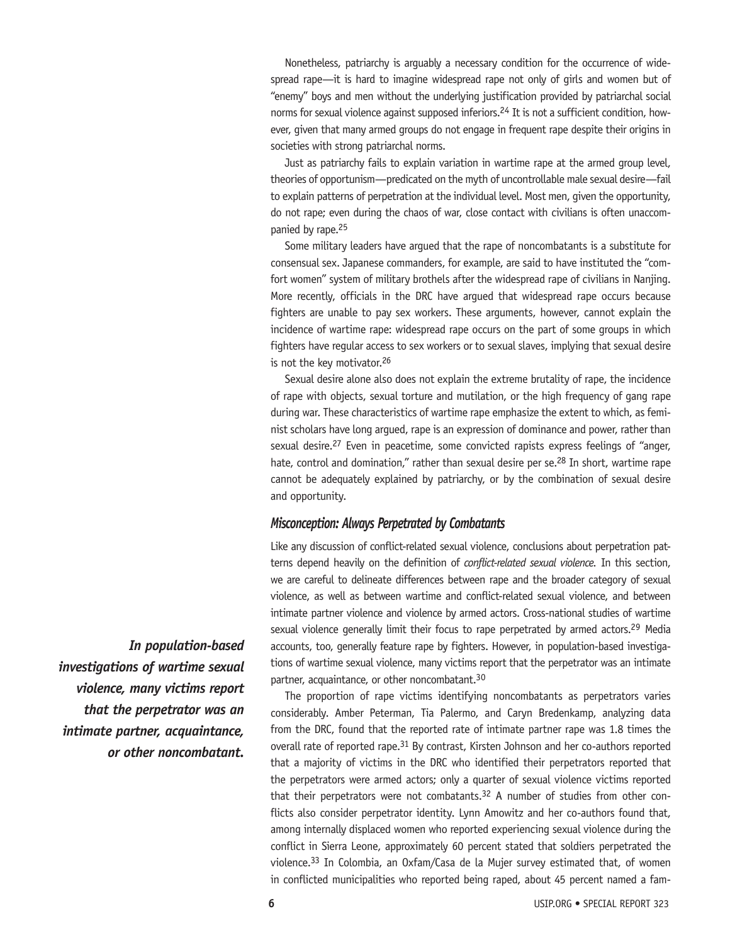Nonetheless, patriarchy is arguably a necessary condition for the occurrence of widespread rape—it is hard to imagine widespread rape not only of girls and women but of "enemy" boys and men without the underlying justification provided by patriarchal social norms for sexual violence against supposed inferiors.<sup>24</sup> It is not a sufficient condition, however, given that many armed groups do not engage in frequent rape despite their origins in societies with strong patriarchal norms.

Just as patriarchy fails to explain variation in wartime rape at the armed group level, theories of opportunism—predicated on the myth of uncontrollable male sexual desire—fail to explain patterns of perpetration at the individual level. Most men, given the opportunity, do not rape; even during the chaos of war, close contact with civilians is often unaccompanied by rape.<sup>25</sup>

Some military leaders have argued that the rape of noncombatants is a substitute for consensual sex. Japanese commanders, for example, are said to have instituted the "comfort women" system of military brothels after the widespread rape of civilians in Nanjing. More recently, officials in the DRC have argued that widespread rape occurs because fighters are unable to pay sex workers. These arguments, however, cannot explain the incidence of wartime rape: widespread rape occurs on the part of some groups in which fighters have regular access to sex workers or to sexual slaves, implying that sexual desire is not the key motivator.<sup>26</sup>

Sexual desire alone also does not explain the extreme brutality of rape, the incidence of rape with objects, sexual torture and mutilation, or the high frequency of gang rape during war. These characteristics of wartime rape emphasize the extent to which, as feminist scholars have long argued, rape is an expression of dominance and power, rather than sexual desire.<sup>27</sup> Even in peacetime, some convicted rapists express feelings of "anger, hate, control and domination," rather than sexual desire per se.<sup>28</sup> In short, wartime rape cannot be adequately explained by patriarchy, or by the combination of sexual desire and opportunity.

#### *Misconception: Always Perpetrated by Combatants*

Like any discussion of conflict-related sexual violence, conclusions about perpetration patterns depend heavily on the definition of *conflict-related sexual violence.* In this section, we are careful to delineate differences between rape and the broader category of sexual violence, as well as between wartime and conflict-related sexual violence, and between intimate partner violence and violence by armed actors. Cross-national studies of wartime sexual violence generally limit their focus to rape perpetrated by armed actors.<sup>29</sup> Media accounts, too, generally feature rape by fighters. However, in population-based investigations of wartime sexual violence, many victims report that the perpetrator was an intimate partner, acquaintance, or other noncombatant.30

The proportion of rape victims identifying noncombatants as perpetrators varies considerably. Amber Peterman, Tia Palermo, and Caryn Bredenkamp, analyzing data from the DRC, found that the reported rate of intimate partner rape was 1.8 times the overall rate of reported rape.<sup>31</sup> By contrast, Kirsten Johnson and her co-authors reported that a majority of victims in the DRC who identified their perpetrators reported that the perpetrators were armed actors; only a quarter of sexual violence victims reported that their perpetrators were not combatants.<sup>32</sup> A number of studies from other conflicts also consider perpetrator identity. Lynn Amowitz and her co-authors found that, among internally displaced women who reported experiencing sexual violence during the conflict in Sierra Leone, approximately 60 percent stated that soldiers perpetrated the violence.33 In Colombia, an Oxfam/Casa de la Mujer survey estimated that, of women in conflicted municipalities who reported being raped, about 45 percent named a fam-

*In population-based investigations of wartime sexual violence, many victims report that the perpetrator was an intimate partner, acquaintance, or other noncombatant.*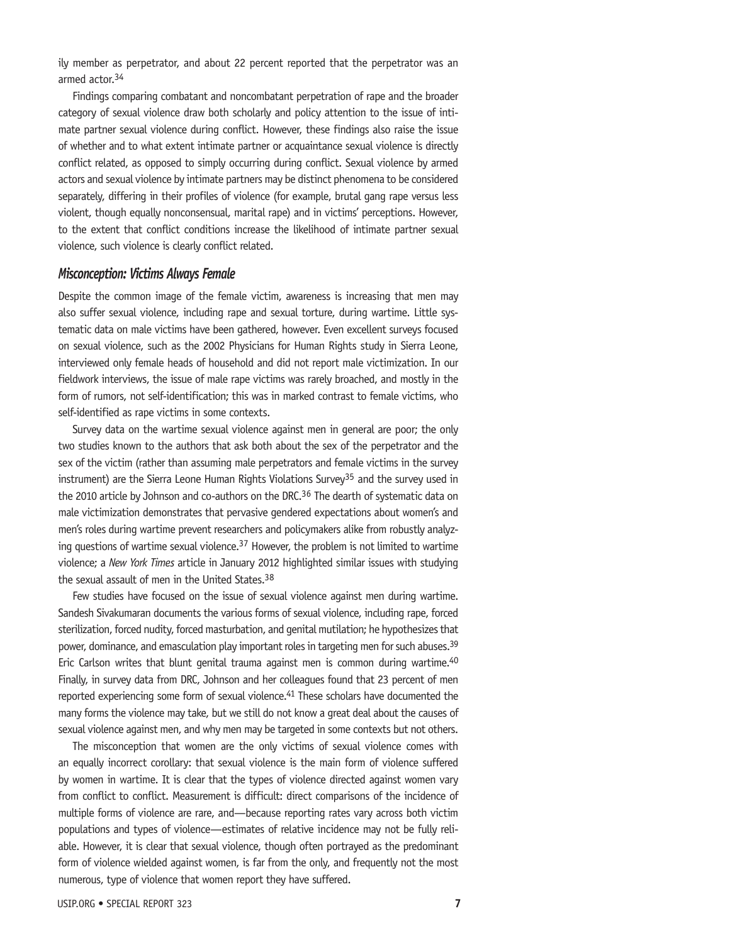ily member as perpetrator, and about 22 percent reported that the perpetrator was an armed actor.34

Findings comparing combatant and noncombatant perpetration of rape and the broader category of sexual violence draw both scholarly and policy attention to the issue of intimate partner sexual violence during conflict. However, these findings also raise the issue of whether and to what extent intimate partner or acquaintance sexual violence is directly conflict related, as opposed to simply occurring during conflict. Sexual violence by armed actors and sexual violence by intimate partners may be distinct phenomena to be considered separately, differing in their profiles of violence (for example, brutal gang rape versus less violent, though equally nonconsensual, marital rape) and in victims' perceptions. However, to the extent that conflict conditions increase the likelihood of intimate partner sexual violence, such violence is clearly conflict related.

#### *Misconception: Victims Always Female*

Despite the common image of the female victim, awareness is increasing that men may also suffer sexual violence, including rape and sexual torture, during wartime. Little systematic data on male victims have been gathered, however. Even excellent surveys focused on sexual violence, such as the 2002 Physicians for Human Rights study in Sierra Leone, interviewed only female heads of household and did not report male victimization. In our fieldwork interviews, the issue of male rape victims was rarely broached, and mostly in the form of rumors, not self-identification; this was in marked contrast to female victims, who self-identified as rape victims in some contexts.

Survey data on the wartime sexual violence against men in general are poor; the only two studies known to the authors that ask both about the sex of the perpetrator and the sex of the victim (rather than assuming male perpetrators and female victims in the survey instrument) are the Sierra Leone Human Rights Violations Survey<sup>35</sup> and the survey used in the 2010 article by Johnson and co-authors on the DRC.<sup>36</sup> The dearth of systematic data on male victimization demonstrates that pervasive gendered expectations about women's and men's roles during wartime prevent researchers and policymakers alike from robustly analyzing questions of wartime sexual violence.<sup>37</sup> However, the problem is not limited to wartime violence; a *New York Times* article in January 2012 highlighted similar issues with studying the sexual assault of men in the United States.38

Few studies have focused on the issue of sexual violence against men during wartime. Sandesh Sivakumaran documents the various forms of sexual violence, including rape, forced sterilization, forced nudity, forced masturbation, and genital mutilation; he hypothesizes that power, dominance, and emasculation play important roles in targeting men for such abuses.39 Eric Carlson writes that blunt genital trauma against men is common during wartime.<sup>40</sup> Finally, in survey data from DRC, Johnson and her colleagues found that 23 percent of men reported experiencing some form of sexual violence.<sup>41</sup> These scholars have documented the many forms the violence may take, but we still do not know a great deal about the causes of sexual violence against men, and why men may be targeted in some contexts but not others.

The misconception that women are the only victims of sexual violence comes with an equally incorrect corollary: that sexual violence is the main form of violence suffered by women in wartime. It is clear that the types of violence directed against women vary from conflict to conflict. Measurement is difficult: direct comparisons of the incidence of multiple forms of violence are rare, and—because reporting rates vary across both victim populations and types of violence—estimates of relative incidence may not be fully reliable. However, it is clear that sexual violence, though often portrayed as the predominant form of violence wielded against women, is far from the only, and frequently not the most numerous, type of violence that women report they have suffered.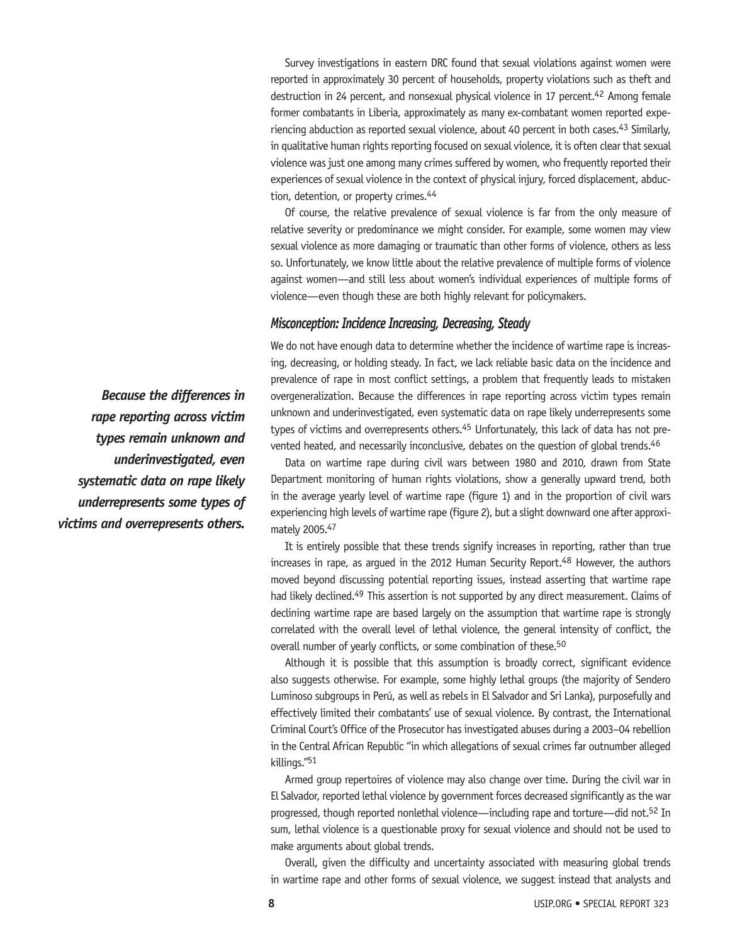Survey investigations in eastern DRC found that sexual violations against women were reported in approximately 30 percent of households, property violations such as theft and destruction in 24 percent, and nonsexual physical violence in 17 percent.<sup>42</sup> Among female former combatants in Liberia, approximately as many ex-combatant women reported experiencing abduction as reported sexual violence, about 40 percent in both cases.<sup>43</sup> Similarly, in qualitative human rights reporting focused on sexual violence, it is often clear that sexual violence was just one among many crimes suffered by women, who frequently reported their experiences of sexual violence in the context of physical injury, forced displacement, abduction, detention, or property crimes.44

Of course, the relative prevalence of sexual violence is far from the only measure of relative severity or predominance we might consider. For example, some women may view sexual violence as more damaging or traumatic than other forms of violence, others as less so. Unfortunately, we know little about the relative prevalence of multiple forms of violence against women—and still less about women's individual experiences of multiple forms of violence—even though these are both highly relevant for policymakers.

#### *Misconception: Incidence Increasing, Decreasing, Steady*

We do not have enough data to determine whether the incidence of wartime rape is increasing, decreasing, or holding steady. In fact, we lack reliable basic data on the incidence and prevalence of rape in most conflict settings, a problem that frequently leads to mistaken overgeneralization. Because the differences in rape reporting across victim types remain unknown and underinvestigated, even systematic data on rape likely underrepresents some types of victims and overrepresents others.<sup>45</sup> Unfortunately, this lack of data has not prevented heated, and necessarily inconclusive, debates on the question of qlobal trends.<sup>46</sup>

Data on wartime rape during civil wars between 1980 and 2010, drawn from State Department monitoring of human rights violations, show a generally upward trend, both in the average yearly level of wartime rape (figure 1) and in the proportion of civil wars experiencing high levels of wartime rape (figure 2), but a slight downward one after approximately 2005.47

It is entirely possible that these trends signify increases in reporting, rather than true increases in rape, as arqued in the 2012 Human Security Report.<sup>48</sup> However, the authors moved beyond discussing potential reporting issues, instead asserting that wartime rape had likely declined.<sup>49</sup> This assertion is not supported by any direct measurement. Claims of declining wartime rape are based largely on the assumption that wartime rape is strongly correlated with the overall level of lethal violence, the general intensity of conflict, the overall number of yearly conflicts, or some combination of these.<sup>50</sup>

Although it is possible that this assumption is broadly correct, significant evidence also suggests otherwise. For example, some highly lethal groups (the majority of Sendero Luminoso subgroups in Perú, as well as rebels in El Salvador and Sri Lanka), purposefully and effectively limited their combatants' use of sexual violence. By contrast, the International Criminal Court's Office of the Prosecutor hasinvestigated abuses during a 2003–04 rebellion in the Central African Republic "in which allegations of sexual crimes far outnumber alleged killings."51

Armed group repertoires of violence may also change over time. During the civil war in El Salvador, reported lethal violence by government forces decreased significantly asthe war progressed, though reported nonlethal violence—including rape and torture—did not.52 In sum, lethal violence is a questionable proxy for sexual violence and should not be used to make arguments about global trends.

Overall, given the difficulty and uncertainty associated with measuring global trends in wartime rape and other forms of sexual violence, we suggest instead that analysts and

*Because the differences in rape reporting across victim types remain unknown and underinvestigated, even systematic data on rape likely underrepresents some types of victims and overrepresents others.*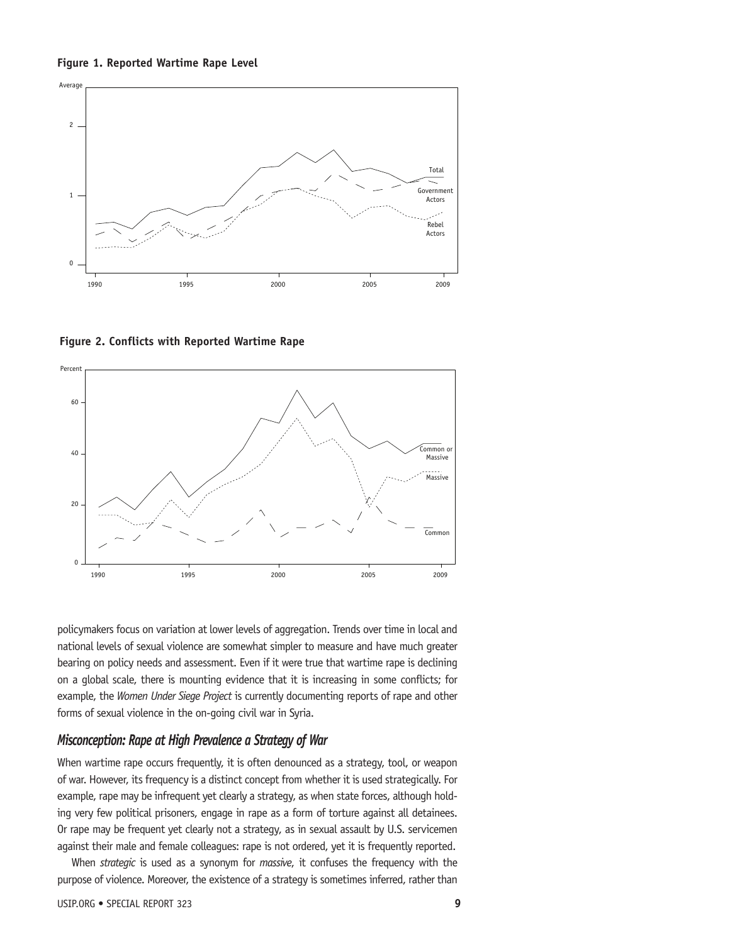



**Figure 2. Conflicts with Reported Wartime Rape**



policymakers focus on variation at lower levels of aggregation. Trends over time in local and national levels of sexual violence are somewhat simpler to measure and have much greater bearing on policy needs and assessment. Even if it were true that wartime rape is declining on a global scale, there is mounting evidence that it is increasing in some conflicts; for example, the *Women Under Siege Project* is currently documenting reports of rape and other forms of sexual violence in the on-going civil war in Syria.

#### *Misconception: Rape at High Prevalence a Strategy of War*

When wartime rape occurs frequently, it is often denounced as a strategy, tool, or weapon of war. However, its frequency is a distinct concept from whether it is used strategically. For example, rape may be infrequent yet clearly a strategy, as when state forces, although holding very few political prisoners, engage in rape as a form of torture against all detainees. Or rape may be frequent yet clearly not a strategy, as in sexual assault by U.S. servicemen against their male and female colleagues: rape is not ordered, yet it is frequently reported.

When *strategic* is used as a synonym for *massive*, it confuses the frequency with the purpose of violence. Moreover, the existence of a strategy is sometimes inferred, rather than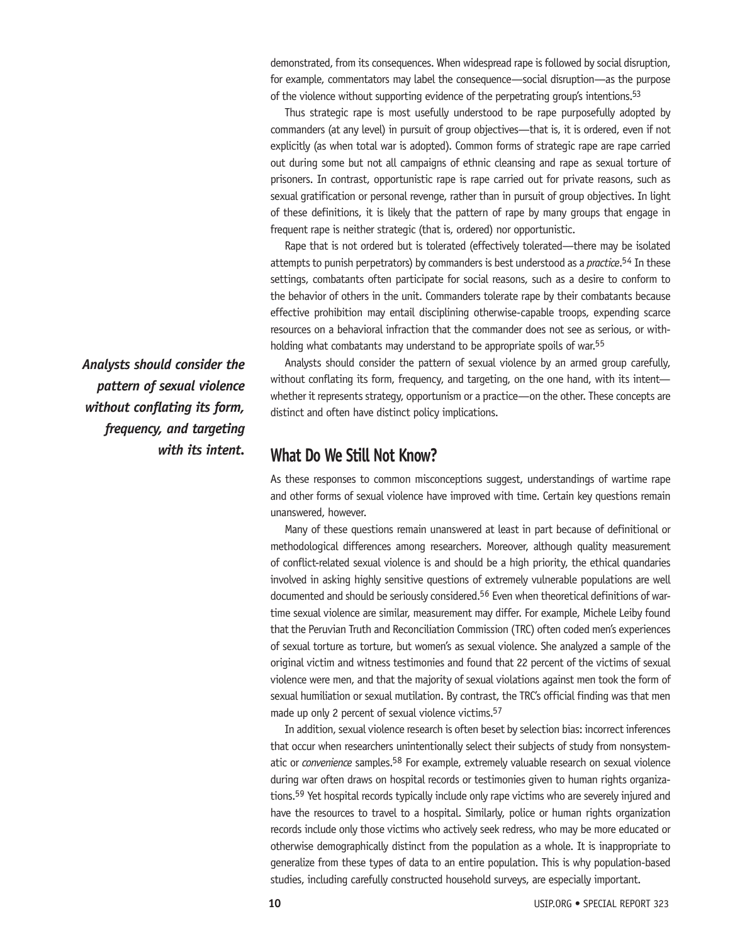demonstrated, from its consequences. When widespread rape is followed by social disruption, for example, commentators may label the consequence—social disruption—as the purpose of the violence without supporting evidence of the perpetrating group's intentions.<sup>53</sup>

Thus strategic rape is most usefully understood to be rape purposefully adopted by commanders (at any level) in pursuit of group objectives—that is, it is ordered, even if not explicitly (as when total war is adopted). Common forms of strategic rape are rape carried out during some but not all campaigns of ethnic cleansing and rape as sexual torture of prisoners. In contrast, opportunistic rape is rape carried out for private reasons, such as sexual gratification or personal revenge, rather than in pursuit of group objectives. In light of these definitions, it is likely that the pattern of rape by many groups that engage in frequent rape is neither strategic (that is, ordered) nor opportunistic.

Rape that is not ordered but is tolerated (effectively tolerated—there may be isolated attempts to punish perpetrators) by commanders is best understood as a *practice*. 54 In these settings, combatants often participate for social reasons, such as a desire to conform to the behavior of others in the unit. Commanders tolerate rape by their combatants because effective prohibition may entail disciplining otherwise-capable troops, expending scarce resources on a behavioral infraction that the commander does not see as serious, or withholding what combatants may understand to be appropriate spoils of war.<sup>55</sup>

Analysts should consider the pattern of sexual violence by an armed group carefully, without conflating its form, frequency, and targeting, on the one hand, with its intent whether it represents strategy, opportunism or a practice—on the other. These concepts are distinct and often have distinct policy implications.

# **What Do We Still Not Know?**

As these responses to common misconceptions suggest, understandings of wartime rape and other forms of sexual violence have improved with time. Certain key questions remain unanswered, however.

Many of these questions remain unanswered at least in part because of definitional or methodological differences among researchers. Moreover, although quality measurement of conflict-related sexual violence is and should be a high priority, the ethical quandaries involved in asking highly sensitive questions of extremely vulnerable populations are well documented and should be seriously considered.<sup>56</sup> Even when theoretical definitions of wartime sexual violence are similar, measurement may differ. For example, Michele Leiby found that the Peruvian Truth and Reconciliation Commission (TRC) often coded men's experiences of sexual torture as torture, but women's as sexual violence. She analyzed a sample of the original victim and witness testimonies and found that 22 percent of the victims of sexual violence were men, and that the majority of sexual violations against men took the form of sexual humiliation or sexual mutilation. By contrast, the TRC's official finding was that men made up only 2 percent of sexual violence victims.<sup>57</sup>

In addition, sexual violence research is often beset by selection bias: incorrect inferences that occur when researchers unintentionally select their subjects of study from nonsystematic or *convenience* samples.58 For example, extremely valuable research on sexual violence during war often draws on hospital records or testimonies given to human rights organizations.59 Yet hospital records typically include only rape victims who are severely injured and have the resources to travel to a hospital. Similarly, police or human rights organization records include only those victims who actively seek redress, who may be more educated or otherwise demographically distinct from the population as a whole. It is inappropriate to generalize from these types of data to an entire population. This is why population-based studies, including carefully constructed household surveys, are especially important.

*Analysts should consider the pattern of sexual violence without conflating its form, frequency, and targeting with its intent.*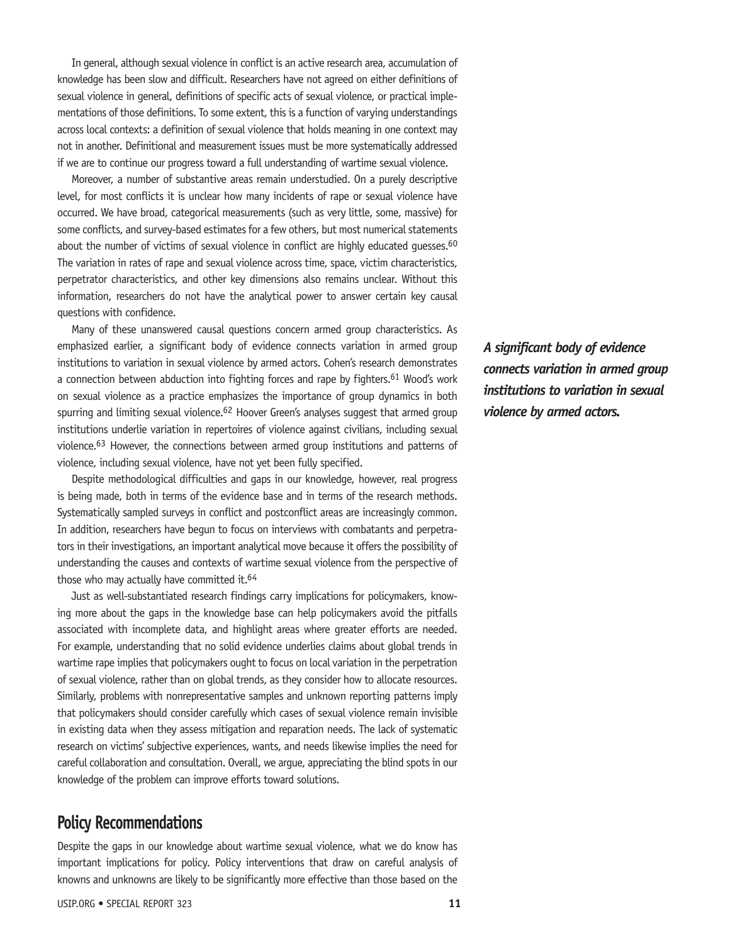In general, although sexual violence in conflict is an active research area, accumulation of knowledge has been slow and difficult. Researchers have not agreed on either definitions of sexual violence in general, definitions of specific acts of sexual violence, or practical implementations of those definitions. To some extent, this is a function of varying understandings across local contexts: a definition of sexual violence that holds meaning in one context may not in another. Definitional and measurement issues must be more systematically addressed if we are to continue our progress toward a full understanding of wartime sexual violence.

Moreover, a number of substantive areas remain understudied. On a purely descriptive level, for most conflicts it is unclear how many incidents of rape or sexual violence have occurred. We have broad, categorical measurements (such as very little, some, massive) for some conflicts, and survey-based estimates for a few others, but most numerical statements about the number of victims of sexual violence in conflict are highly educated quesses.<sup>60</sup> The variation in rates of rape and sexual violence across time, space, victim characteristics, perpetrator characteristics, and other key dimensions also remains unclear. Without this information, researchers do not have the analytical power to answer certain key causal questions with confidence.

Many of these unanswered causal questions concern armed group characteristics. As emphasized earlier, a significant body of evidence connects variation in armed group institutions to variation in sexual violence by armed actors. Cohen's research demonstrates a connection between abduction into fighting forces and rape by fighters.<sup>61</sup> Wood's work on sexual violence as a practice emphasizes the importance of group dynamics in both spurring and limiting sexual violence.<sup>62</sup> Hoover Green's analyses suggest that armed group institutions underlie variation in repertoires of violence against civilians, including sexual violence.63 However, the connections between armed group institutions and patterns of violence, including sexual violence, have not yet been fully specified.

Despite methodological difficulties and gaps in our knowledge, however, real progress is being made, both in terms of the evidence base and in terms of the research methods. Systematically sampled surveys in conflict and postconflict areas are increasingly common. In addition, researchers have begun to focus on interviews with combatants and perpetrators in their investigations, an important analytical move because it offers the possibility of understanding the causes and contexts of wartime sexual violence from the perspective of those who may actually have committed it.<sup>64</sup>

Just as well-substantiated research findings carry implications for policymakers, knowing more about the gaps in the knowledge base can help policymakers avoid the pitfalls associated with incomplete data, and highlight areas where greater efforts are needed. For example, understanding that no solid evidence underlies claims about global trends in wartime rape implies that policymakers ought to focus on local variation in the perpetration of sexual violence, rather than on global trends, as they consider how to allocate resources. Similarly, problems with nonrepresentative samples and unknown reporting patterns imply that policymakers should consider carefully which cases of sexual violence remain invisible in existing data when they assess mitigation and reparation needs. The lack of systematic research on victims' subjective experiences, wants, and needs likewise implies the need for careful collaboration and consultation. Overall, we argue, appreciating the blind spots in our knowledge of the problem can improve efforts toward solutions.

### **Policy Recommendations**

Despite the gaps in our knowledge about wartime sexual violence, what we do know has important implications for policy. Policy interventions that draw on careful analysis of knowns and unknowns are likely to be significantly more effective than those based on the *A significant body of evidence connects variation in armed group institutions to variation in sexual violence by armed actors.*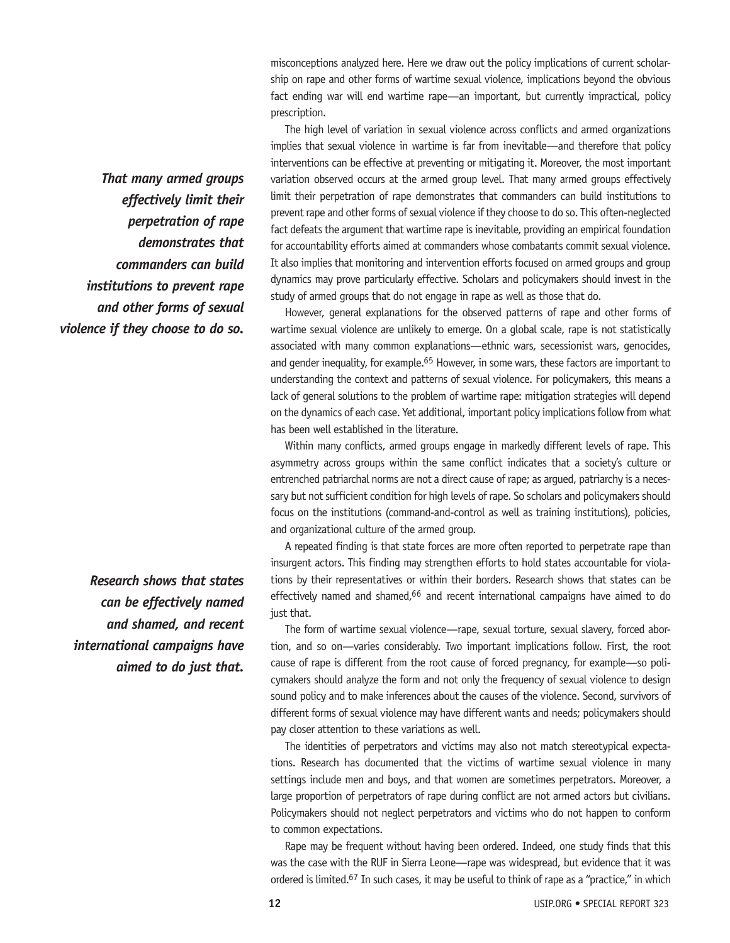misconceptions analyzed here. Here we draw out the policy implications of current scholarship on rape and other forms of wartime sexual violence, implications beyond the obvious fact ending war will end wartime rape—an important, but currently impractical, policy prescription.

The high level of variation in sexual violence across conflicts and armed organizations implies that sexual violence in wartime is far from inevitable—and therefore that policy interventions can be effective at preventing or mitigating it. Moreover, the most important variation observed occurs at the armed group level. That many armed groups effectively limit their perpetration of rape demonstrates that commanders can build institutions to prevent rape and other forms of sexual violence if they choose to do so. This often-neglected fact defeats the argument that wartime rape is inevitable, providing an empirical foundation for accountability efforts aimed at commanders whose combatants commit sexual violence. It also implies that monitoring and intervention efforts focused on armed groups and group dynamics may prove particularly effective. Scholars and policymakers should invest in the study of armed groups that do not engage in rape as well as those that do.

However, general explanations for the observed patterns of rape and other forms of wartime sexual violence are unlikely to emerge. On a global scale, rape is not statistically associated with many common explanations—ethnic wars, secessionist wars, genocides, and gender inequality, for example.<sup>65</sup> However, in some wars, these factors are important to understanding the context and patterns of sexual violence. For policymakers, this means a lack of general solutions to the problem of wartime rape: mitigation strategies will depend on the dynamics of each case. Yet additional, important policy implications follow from what has been well established in the literature.

Within many conflicts, armed groups engage in markedly different levels of rape. This asymmetry across groups within the same conflict indicates that a society's culture or entrenched patriarchal norms are not a direct cause of rape; as argued, patriarchy is a necessary but not sufficient condition for high levels of rape. So scholars and policymakers should focus on the institutions (command-and-control as well as training institutions), policies, and organizational culture of the armed group.

A repeated finding is that state forces are more often reported to perpetrate rape than insurgent actors. This finding may strengthen efforts to hold states accountable for violations by their representatives or within their borders. Research shows that states can be effectively named and shamed,<sup>66</sup> and recent international campaigns have aimed to do just that.

The form of wartime sexual violence—rape, sexual torture, sexual slavery, forced abortion, and so on—varies considerably. Two important implications follow. First, the root cause of rape is different from the root cause of forced pregnancy, for example—so policymakers should analyze the form and not only the frequency of sexual violence to design sound policy and to make inferences about the causes of the violence. Second, survivors of different forms of sexual violence may have different wants and needs; policymakers should pay closer attention to these variations as well.

The identities of perpetrators and victims may also not match stereotypical expectations. Research has documented that the victims of wartime sexual violence in many settings include men and boys, and that women are sometimes perpetrators. Moreover, a large proportion of perpetrators of rape during conflict are not armed actors but civilians. Policymakers should not neglect perpetrators and victims who do not happen to conform to common expectations.

Rape may be frequent without having been ordered. Indeed, one study finds that this was the case with the RUF in Sierra Leone—rape was widespread, but evidence that it was ordered is limited.67 In such cases, it may be useful to think of rape as a "practice," in which

*That many armed groups effectively limit their perpetration of rape demonstrates that commanders can build institutions to prevent rape and other forms of sexual violence if they choose to do so.*

*Research shows that states can be effectively named and shamed, and recent international campaigns have aimed to do just that.*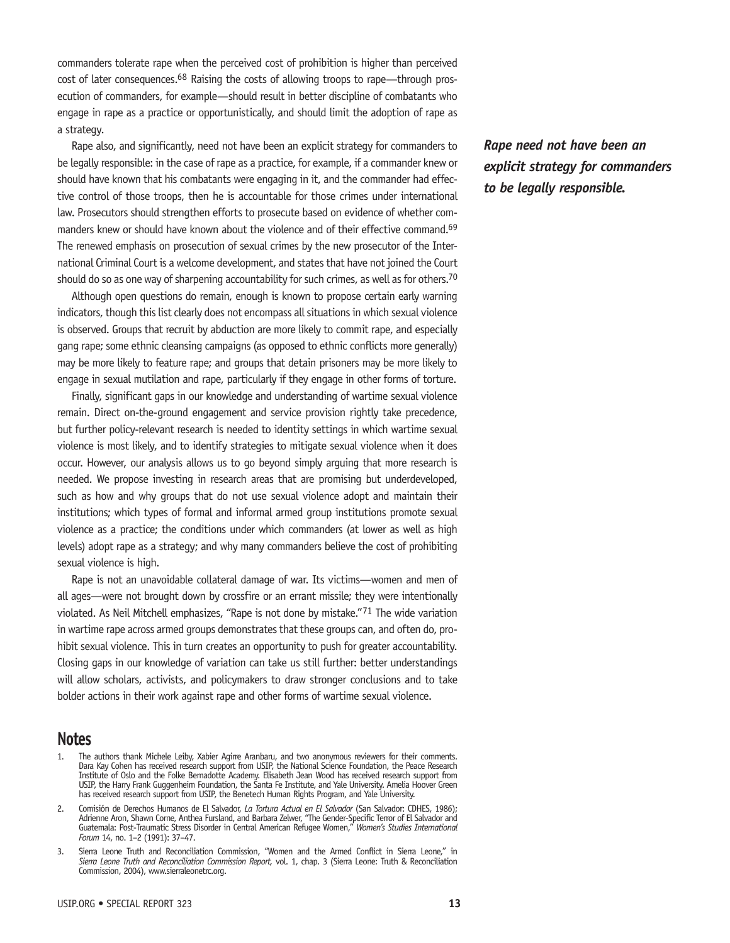commanders tolerate rape when the perceived cost of prohibition is higher than perceived cost of later consequences.<sup>68</sup> Raising the costs of allowing troops to rape—through prosecution of commanders, for example—should result in better discipline of combatants who engage in rape as a practice or opportunistically, and should limit the adoption of rape as a strategy.

Rape also, and significantly, need not have been an explicit strategy for commanders to be legally responsible: in the case of rape as a practice, for example, if a commander knew or should have known that his combatants were engaging in it, and the commander had effective control of those troops, then he is accountable for those crimes under international law. Prosecutors should strengthen efforts to prosecute based on evidence of whether commanders knew or should have known about the violence and of their effective command.<sup>69</sup> The renewed emphasis on prosecution of sexual crimes by the new prosecutor of the International Criminal Court is a welcome development, and states that have not joined the Court should do so as one way of sharpening accountability for such crimes, as well as for others.<sup>70</sup>

Although open questions do remain, enough is known to propose certain early warning indicators, though this list clearly does not encompass all situations in which sexual violence is observed. Groups that recruit by abduction are more likely to commit rape, and especially gang rape; some ethnic cleansing campaigns (as opposed to ethnic conflicts more generally) may be more likely to feature rape; and groups that detain prisoners may be more likely to engage in sexual mutilation and rape, particularly if they engage in other forms of torture.

Finally, significant gaps in our knowledge and understanding of wartime sexual violence remain. Direct on-the-ground engagement and service provision rightly take precedence, but further policy-relevant research is needed to identity settings in which wartime sexual violence is most likely, and to identify strategies to mitigate sexual violence when it does occur. However, our analysis allows us to go beyond simply arguing that more research is needed. We propose investing in research areas that are promising but underdeveloped, such as how and why groups that do not use sexual violence adopt and maintain their institutions; which types of formal and informal armed group institutions promote sexual violence as a practice; the conditions under which commanders (at lower as well as high levels) adopt rape as a strategy; and why many commanders believe the cost of prohibiting sexual violence is high.

Rape is not an unavoidable collateral damage of war. Its victims—women and men of all ages—were not brought down by crossfire or an errant missile; they were intentionally violated. As Neil Mitchell emphasizes, "Rape is not done by mistake."71 The wide variation in wartime rape across armed groups demonstrates that these groups can, and often do, prohibit sexual violence. This in turn creates an opportunity to push for greater accountability. Closing gaps in our knowledge of variation can take us still further: better understandings will allow scholars, activists, and policymakers to draw stronger conclusions and to take bolder actions in their work against rape and other forms of wartime sexual violence.

#### **Notes**

- The authors thank Michele Leiby, Xabier Agirre Aranbaru, and two anonymous reviewers for their comments. Dara Kay Cohen has received research support from USIP, the National Science Foundation, the Peace Research Institute of Oslo and the Folke Bernadotte Academy. Elisabeth Jean Wood has received research support from USIP, the Harry Frank Guggenheim Foundation, the Santa Fe Institute, and Yale University. Amelia Hoover Green has received research support from USIP, the Benetech Human Rights Program, and Yale University.
- 2. Comisión de Derechos Humanos de El Salvador, *La Tortura Actual en El Salvador* (San Salvador: CDHES, 1986); Adrienne Aron, Shawn Corne, Anthea Fursland, and Barbara Zelwer, "The Gender-Specific Terror of El Salvador and Guatemala: Post-Traumatic Stress Disorder in Central American Refugee Women," *Women's Studies International Forum* 14, no. 1–2 (1991): 37–47.
- Sierra Leone Truth and Reconciliation Commission, "Women and the Armed Conflict in Sierra Leone," in *Sierra Leone Truth and Reconciliation Commission Report,* vol. 1, chap. 3 (Sierra Leone: Truth & Reconciliation Commission, 2004), www.sierraleonetrc.org.

*Rape need not have been an explicit strategy for commanders to be legally responsible.*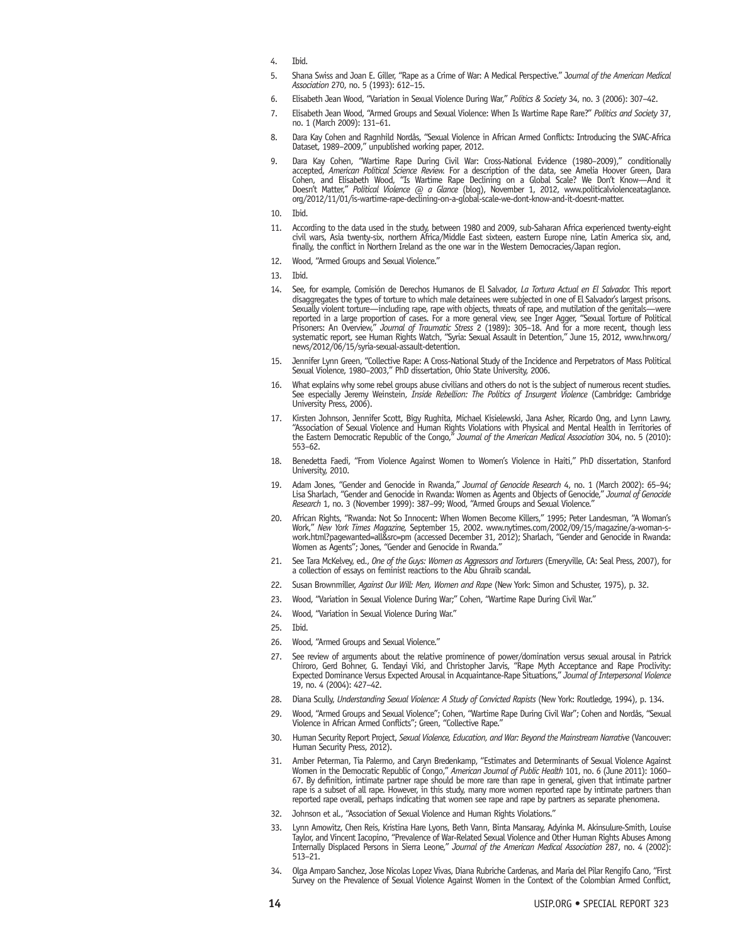- 4. Ibid.
- 5. Shana Swiss and Joan E. Giller, "Rape as a Crime of War: A Medical Perspective." J*ournal of the American Medical Association* 270, no. 5 (1993): 612–15.
- 6. Elisabeth Jean Wood, "Variation in Sexual Violence During War," *Politics & Society* 34, no. 3 (2006): 307–42.
- 7. Elisabeth Jean Wood, "Armed Groups and Sexual Violence: When Is Wartime Rape Rare?" *Politics and Society* 37, no. 1 (March 2009): 131–61.
- 8. Dara Kay Cohen and Ragnhild Nordås, "Sexual Violence in African Armed Conflicts: Introducing the SVAC-Africa Dataset, 1989–2009," unpublished working paper, 2012.
- 9. Dara Kay Cohen, "Wartime Rape During Civil War: Cross-National Evidence (1980–2009)," conditionally accepted, *American Political Science Review.* For a description of the data, see Amelia Hoover Green, Dara Cohen, and Elisabeth Wood, "Is Wartime Rape Declining on a Global Scale? We Don't Know—And it Doesn't Matter," *Political Violence @ a Glance* (blog), November 1, 2012, www.politicalviolenceataglance. org/2012/11/01/is-wartime-rape-declining-on-a-global-scale-we-dont-know-and-it-doesnt-matter.
- 10. Ibid.
- 11. According to the data used in the study, between 1980 and 2009, sub-Saharan Africa experienced twenty-eight civil wars, Asia twenty-six, northern Africa/Middle East sixteen, eastern Europe nine, Latin America six, and, finally, the conflict in Northern Ireland as the one war in the Western Democracies/Japan region.
- 12. Wood, "Armed Groups and Sexual Violence."
- 13. Ibid.
- 14. See, for example, Comisión de Derechos Humanos de El Salvador, *La Tortura Actual en El Salvador.* This report disaggregates the types of torture to which male detainees were subjected in one of El Salvador's largest prisons. Sexually violent torture—including rape, rape with objects, threats of rape, and mutilation of the genitals—were reported in a large proportion of cases. For a more general view, see Inger Agger, "Sexual Torture of Political Prisoners: An Overview," *Journal of Traumatic Stress* 2 (1989): 305–18. And for a more recent, though less systematic report, see Human Rights Watch, "Syria: Sexual Assault in Detention," June 15, 2012, www.hrw.org/ news/2012/06/15/syria-sexual-assault-detention.
- 15. Jennifer Lynn Green, "Collective Rape: A Cross-National Study of the Incidence and Perpetrators of Mass Political Sexual Violence, 1980–2003," PhD dissertation, Ohio State University, 2006.
- 16. What explains why some rebel groups abuse civilians and others do not is the subject of numerous recent studies. See especially Jeremy Weinstein, *Inside Rebellion: The Politics of Insurgent Violence* (Cambridge: Cambridge University Press, 2006).
- 17. Kirsten Johnson, Jennifer Scott, Bigy Rughita, Michael Kisielewski, Jana Asher, Ricardo Ong, and Lynn Lawry, "Association of Sexual Violence and Human Rights Violations with Physical and Mental Health in Territories of the Eastern Democratic Republic of the Congo," *Journal of the American Medical Association* 304, no. 5 (2010): 553–62.
- 18. Benedetta Faedi, "From Violence Against Women to Women's Violence in Haiti," PhD dissertation, Stanford University, 2010.
- 19. Adam Jones, "Gender and Genocide in Rwanda," *Journal of Genocide Research* 4, no. 1 (March 2002): 65–94; Lisa Sharlach, "Gender and Genocide in Rwanda: Women as Agents and Objects of Genocide," *Journal of Genocide Research* 1, no. 3 (November 1999): 387–99; Wood, "Armed Groups and Sexual Violence."
- African Rights, "Rwanda: Not So Innocent: When Women Become Killers," 1995; Peter Landesman, "A Woman's Work," *New York Times Magazine,* September 15, 2002. www.nytimes.com/2002/09/15/magazine/a-woman-swork.html?pagewanted=all&src=pm (accessed December 31, 2012); Sharlach, "Gender and Genocide in Rwanda: Women as Agents"; Jones, "Gender and Genocide in Rwanda.
- 21. See Tara McKelvey, ed., *One of the Guys: Women as Aggressors and Torturers* (Emeryville, CA: Seal Press, 2007), for a collection of essays on feminist reactions to the Abu Ghraib scandal.
- 22. Susan Brownmiller, *Against Our Will: Men, Women and Rape* (New York: Simon and Schuster, 1975), p. 32.
- 23. Wood, "Variation in Sexual Violence During War;" Cohen, "Wartime Rape During Civil War."
- 24. Wood, "Variation in Sexual Violence During War."
- 25. Ibid.
- 26. Wood, "Armed Groups and Sexual Violence."
- 27. See review of arguments about the relative prominence of power/domination versus sexual arousal in Patrick Chiroro, Gerd Bohner, G. Tendayi Viki, and Christopher Jarvis, "Rape Myth Acceptance and Rape Proclivity: Expected Dominance Versus Expected Arousal in Acquaintance-Rape Situations," *Journal of Interpersonal Violence*  19, no. 4 (2004): 427–42.
- 28. Diana Scully, *Understanding Sexual Violence: A Study of Convicted Rapists* (New York: Routledge, 1994), p. 134.
- 29. Wood, "Armed Groups and Sexual Violence"; Cohen, "Wartime Rape During Civil War"; Cohen and Nordås, "Sexual Violence in African Armed Conflicts"; Green, "Collective Rape."
- 30. Human Security Report Project, *Sexual Violence, Education, and War: Beyond the Mainstream Narrative* (Vancouver: Human Security Press, 2012).
- 31. Amber Peterman, Tia Palermo, and Caryn Bredenkamp, "Estimates and Determinants of Sexual Violence Against Women in the Democratic Republic of Congo," *American Journal of Public Health* 101, no. 6 (June 2011): 1060– 67. By definition, intimate partner rape should be more rare than rape in general, given that intimate partner rape is a subset of all rape. However, in this study, many more women reported rape by intimate partners than reported rape overall, perhaps indicating that women see rape and rape by partners as separate phenomena.
- 32. Johnson et al., "Association of Sexual Violence and Human Rights Violations."
- 33. Lynn Amowitz, Chen Reis, Kristina Hare Lyons, Beth Vann, Binta Mansaray, Adyinka M. Akinsulure-Smith, Louise Taylor, and Vincent Iacopino, "Prevalence of War-Related Sexual Violence and Other Human Rights Abuses Among Internally Displaced Persons in Sierra Leone," *Journal of the American Medical Association* 287, no. 4 (2002): 513–21.
- 34. Olga Amparo Sanchez, Jose Nicolas Lopez Vivas, Diana Rubriche Cardenas, and Maria del Pilar Rengifo Cano, "First Survey on the Prevalence of Sexual Violence Against Women in the Context of the Colombian Armed Conflict,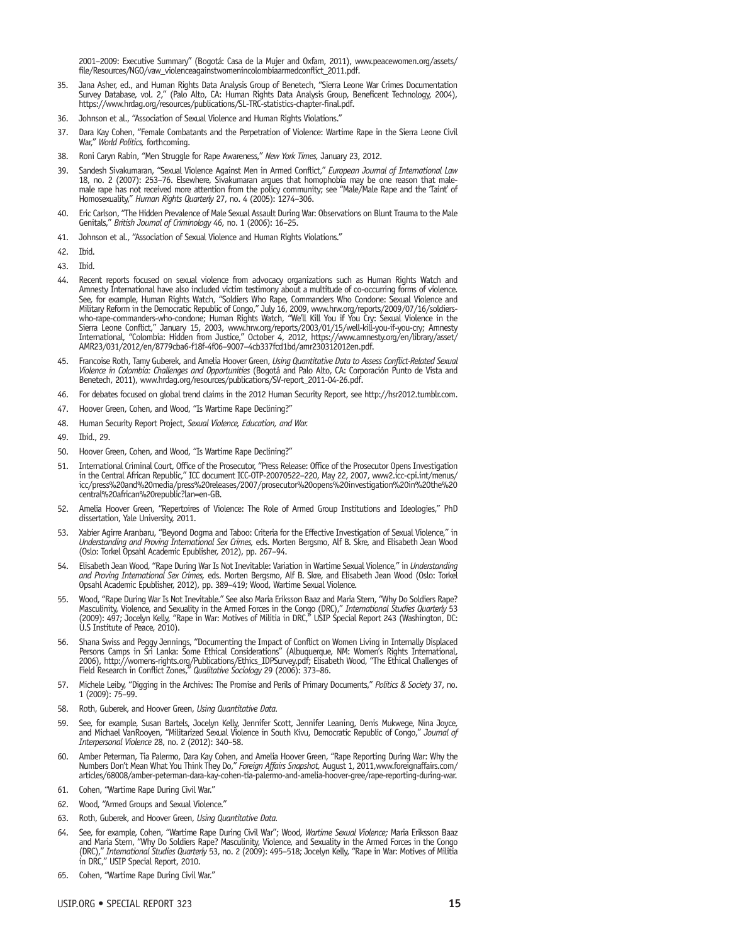2001–2009: Executive Summary" (Bogotá: Casa de la Mujer and Oxfam, 2011), www.peacewomen.org/assets/ file/Resources/NGO/vaw\_violenceagainstwomenincolombiaarmedconflict\_2011.pdf.

- 35. Jana Asher, ed., and Human Rights Data Analysis Group of Benetech, "Sierra Leone War Crimes Documentation Survey Database, vol. 2," (Palo Alto, CA: Human Rights Data Analysis Group, Beneficent Technology, 2004), https://www.hrdag.org/resources/publications/SL-TRC-statistics-chapter-final.pdf.
- 36. Johnson et al., "Association of Sexual Violence and Human Rights Violations."
- 37. Dara Kay Cohen, "Female Combatants and the Perpetration of Violence: Wartime Rape in the Sierra Leone Civil War," *World Politics,* forthcoming.
- 38. Roni Caryn Rabin, "Men Struggle for Rape Awareness," *New York Times,* January 23, 2012.
- 39. Sandesh Sivakumaran, "Sexual Violence Against Men in Armed Conflict," *European Journal of Intemational Law*<br>18, no. 2 (2007): 253–76. Elsewhere, Sivakumaran argues that homophobia may be one reason that malemale rape has not received more attention from the policy community; see "Male/Male Rape and the 'Taint' of Homosexuality," *Human Rights Quarterly* 27, no. 4 (2005): 1274–306.
- 40. Eric Carlson, "The Hidden Prevalence of Male Sexual Assault During War: Observations on Blunt Trauma to the Male Genitals," *British Journal of Criminology* 46, no. 1 (2006): 16–25.
- 41. Johnson et al., "Association of Sexual Violence and Human Rights Violations."
- 42. Ibid.
- 43. Ibid.
- 44. Recent reports focused on sexual violence from advocacy organizations such as Human Rights Watch and Amnesty International have also included victim testimony about a multitude of co-occurring forms of violence. See, for example, Human Rights Watch, "Soldiers Who Rape, Commanders Who Condone: Sexual Violence and Military Reform in the Democratic Republic of Congo," July 16, 2009, www.hrw.org/reports/2009/07/16/soldierswho-rape-commanders-who-condone; Human Rights Watch, "We'll Kill You if You Cry: Sexual Violence in the Sierra Leone Conflict," January 15, 2003, www.hrw.org/reports/2003/01/15/well-kill-you-if-you-cry; Amnesty International, "Colombia: Hidden from Justice," October 4, 2012, https://www.amnesty.org/en/library/asset/ AMR23/031/2012/en/8779cba6-f18f-4f06–9007–4cb337fcd1bd/amr230312012en.pdf.
- 45. Francoise Roth, Tamy Guberek, and Amelia Hoover Green, *Using Quantitative Data to Assess Conflict-Related Sexual Violence in Colombia: Challenges and Opportunities* (Bogotá and Palo Alto, CA: Corporación Punto de Vista and Benetech, 2011), www.hrdag.org/resources/publications/SV-report\_2011-04-26.pdf.
- 46. For debates focused on global trend claims in the 2012 Human Security Report, see http://hsr2012.tumblr.com.
- 47. Hoover Green, Cohen, and Wood, "Is Wartime Rape Declining?"
- 48. Human Security Report Project, *Sexual Violence, Education, and War.*
- 49. Ibid., 29.
- 50. Hoover Green, Cohen, and Wood, "Is Wartime Rape Declining?"
- 51. International Criminal Court, Office of the Prosecutor, "Press Release: Office of the Prosecutor Opens Investigation in the Central African Republic," ICC document ICC-OTP-20070522–220, May 22, 2007, www2.icc-cpi.int/menus/ icc/press%20and%20media/press%20releases/2007/prosecutor%20opens%20investigation%20in%20the%20 central%20african%20republic?lan=en-GB.
- 52. Amelia Hoover Green, "Repertoires of Violence: The Role of Armed Group Institutions and Ideologies," PhD dissertation, Yale University, 2011.
- Xabier Agirre Aranbaru, "Beyond Dogma and Taboo: Criteria for the Effective Investigation of Sexual Violence," in *Understanding and Proving International Sex Crimes,* eds. Morten Bergsmo, Alf B. Skre, and Elisabeth Jean Wood (Oslo: Torkel Opsahl Academic Epublisher, 2012), pp. 267–94.
- 54. Elisabeth Jean Wood, "Rape During WarIs NotInevitable: Variation in Wartime Sexual Violence," in *Understanding and Proving International Sex Crimes,* eds. Morten Bergsmo, Alf B. Skre, and Elisabeth Jean Wood (Oslo: Torkel Opsahl Academic Epublisher, 2012), pp. 389–419; Wood, Wartime Sexual Violence.
- Wood, "Rape During War Is Not Inevitable." See also Maria Eriksson Baaz and Maria Stern, "Why Do Soldiers Rape? Masculinity, Violence, and Sexuality in the Armed Forces in the Congo (DRC)," *International Studies Quarterly* 53 (2009): 497; Jocelyn Kelly, "Rape in War: Motives of Militia in DRC," USIP Special Report 243 (Washington, DC: U.S Institute of Peace, 2010).
- 56. Shana Swiss and Peggy Jennings, "Documenting the Impact of Conflict on Women Living in Internally Displaced Persons Camps in Sri Lanka: Some Ethical Considerations" (Albuquerque, NM: Women's Rights International, 2006), http://womens-rights.org/Publications/Ethics\_IDPSurvey.pdf; Elisabeth Wood, "The Ethical Challenges of Field Research in Conflict Zones," *Qualitative Sociology* 29 (2006): 373–86.
- 57. Michele Leiby, "Digging in the Archives: The Promise and Perils of Primary Documents," *Politics & Society* 37, no.<br>1 (2009): 75–99.
- 58. Roth, Guberek, and Hoover Green, *Using Quantitative Data.*
- 59. See, for example, Susan Bartels, Jocelyn Kelly, Jennifer Scott, Jennifer Leaning, Denis Mukwege, Nina Joyce, and Michael VanRooyen, "Militarized Sexual Violence in South Kivu, Democratic Republic of Congo," *Journal of Interpersonal Violence* 28, no. 2 (2012): 340–58.
- 60. Amber Peterman, Tia Palermo, Dara Kay Cohen, and Amelia Hoover Green, "Rape Reporting During War: Why the Numbers Don't Mean What You Think They Do," *Foreign Affairs Snapshot,* August 1, 2011,www.foreignaffairs.com/ articles/68008/amber-peterman-dara-kay-cohen-tia-palermo-and-amelia-hoover-gree/rape-reporting-during-war.
- 61. Cohen, "Wartime Rape During Civil War."
- 62. Wood, "Armed Groups and Sexual Violence."
- 63. Roth, Guberek, and Hoover Green, *Using Quantitative Data.*
- 64. See, for example, Cohen, "Wartime Rape During Civil War"; Wood, *Wartime Sexual Violence;* Maria Eriksson Baaz and Maria Stern, "Why Do Soldiers Rape? Masculinity, Violence, and Sexuality in the Armed Forces in the Congo (DRC)," *International Studies Quarterly* 53, no. 2 (2009): 495–518; Jocelyn Kelly, "Rape in War: Motives of Militia in DRC," USIP Special Report, 2010.
- 65. Cohen, "Wartime Rape During Civil War."